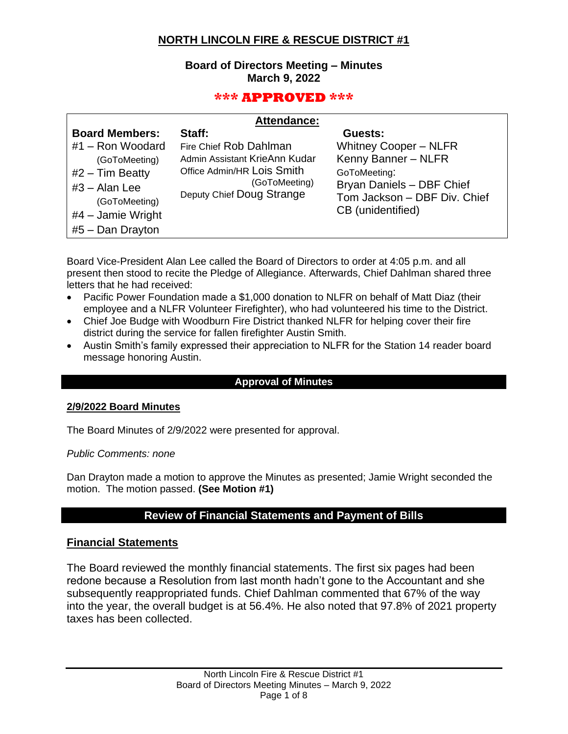# **NORTH LINCOLN FIRE & RESCUE DISTRICT #1**

### **Board of Directors Meeting – Minutes March 9, 2022**

## **\*\*\* APPROVED \*\*\***

| <b>Attendance:</b> |
|--------------------|
|--------------------|

| <b>Board Members:</b> | Staff:                                     | Guests:                      |
|-----------------------|--------------------------------------------|------------------------------|
| #1 - Ron Woodard      | Fire Chief Rob Dahlman                     | <b>Whitney Cooper - NLFR</b> |
| (GoToMeeting)         | Admin Assistant KrieAnn Kudar              | Kenny Banner - NLFR          |
| $#2$ – Tim Beatty     | Office Admin/HR Lois Smith                 | GoToMeeting:                 |
| $#3 -$ Alan Lee       | (GoToMeeting)<br>Deputy Chief Doug Strange | Bryan Daniels - DBF Chief    |
| (GoToMeeting)         |                                            | Tom Jackson - DBF Div. Chief |
| $#4$ – Jamie Wright   |                                            | CB (unidentified)            |
| $#5 - Dan Draw$       |                                            |                              |

Board Vice-President Alan Lee called the Board of Directors to order at 4:05 p.m. and all present then stood to recite the Pledge of Allegiance. Afterwards, Chief Dahlman shared three letters that he had received:

- Pacific Power Foundation made a \$1,000 donation to NLFR on behalf of Matt Diaz (their employee and a NLFR Volunteer Firefighter), who had volunteered his time to the District.
- Chief Joe Budge with Woodburn Fire District thanked NLFR for helping cover their fire district during the service for fallen firefighter Austin Smith.
- Austin Smith's family expressed their appreciation to NLFR for the Station 14 reader board message honoring Austin.

#### **Approval of Minutes**

#### **2/9/2022 Board Minutes**

The Board Minutes of 2/9/2022 were presented for approval.

*Public Comments: none*

Dan Drayton made a motion to approve the Minutes as presented; Jamie Wright seconded the motion. The motion passed. **(See Motion #1)**

## **Review of Financial Statements and Payment of Bills**

#### **Financial Statements**

The Board reviewed the monthly financial statements. The first six pages had been redone because a Resolution from last month hadn't gone to the Accountant and she subsequently reappropriated funds. Chief Dahlman commented that 67% of the way into the year, the overall budget is at 56.4%. He also noted that 97.8% of 2021 property taxes has been collected.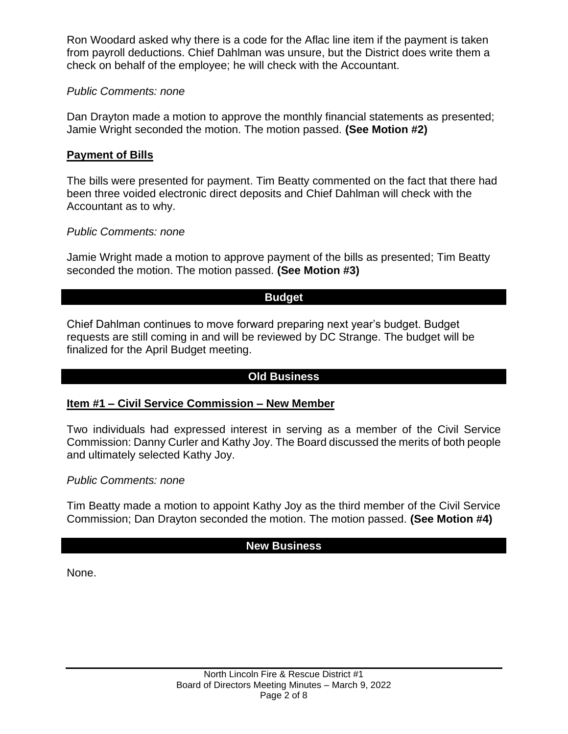Ron Woodard asked why there is a code for the Aflac line item if the payment is taken from payroll deductions. Chief Dahlman was unsure, but the District does write them a check on behalf of the employee; he will check with the Accountant.

## *Public Comments: none*

Dan Drayton made a motion to approve the monthly financial statements as presented; Jamie Wright seconded the motion. The motion passed. **(See Motion #2)**

## **Payment of Bills**

The bills were presented for payment. Tim Beatty commented on the fact that there had been three voided electronic direct deposits and Chief Dahlman will check with the Accountant as to why.

## *Public Comments: none*

Jamie Wright made a motion to approve payment of the bills as presented; Tim Beatty seconded the motion. The motion passed. **(See Motion #3)**

## **Budget**

Chief Dahlman continues to move forward preparing next year's budget. Budget requests are still coming in and will be reviewed by DC Strange. The budget will be finalized for the April Budget meeting.

# **Old Business**

## **Item #1 – Civil Service Commission – New Member**

Two individuals had expressed interest in serving as a member of the Civil Service Commission: Danny Curler and Kathy Joy. The Board discussed the merits of both people and ultimately selected Kathy Joy.

## *Public Comments: none*

Tim Beatty made a motion to appoint Kathy Joy as the third member of the Civil Service Commission; Dan Drayton seconded the motion. The motion passed. **(See Motion #4)**

# **New Business**

None.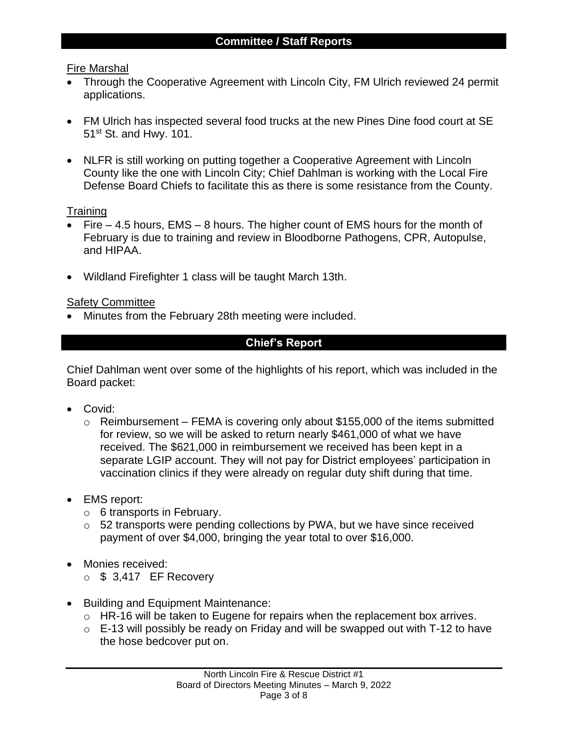## Fire Marshal

- Through the Cooperative Agreement with Lincoln City, FM Ulrich reviewed 24 permit applications.
- FM Ulrich has inspected several food trucks at the new Pines Dine food court at SE 51<sup>st</sup> St. and Hwy. 101.
- NLFR is still working on putting together a Cooperative Agreement with Lincoln County like the one with Lincoln City; Chief Dahlman is working with the Local Fire Defense Board Chiefs to facilitate this as there is some resistance from the County.

## **Training**

- Fire 4.5 hours, EMS 8 hours. The higher count of EMS hours for the month of February is due to training and review in Bloodborne Pathogens, CPR, Autopulse, and HIPAA.
- Wildland Firefighter 1 class will be taught March 13th.

## Safety Committee

• Minutes from the February 28th meeting were included.

# **Chief's Report**

Chief Dahlman went over some of the highlights of his report, which was included in the Board packet:

- Covid:
	- $\circ$  Reimbursement FEMA is covering only about \$155,000 of the items submitted for review, so we will be asked to return nearly \$461,000 of what we have received. The \$621,000 in reimbursement we received has been kept in a separate LGIP account. They will not pay for District employees' participation in vaccination clinics if they were already on regular duty shift during that time.
- EMS report:
	- $\circ$  6 transports in February.
	- o 52 transports were pending collections by PWA, but we have since received payment of over \$4,000, bringing the year total to over \$16,000.
- Monies received:
	- $\circ$  \$ 3,417 EF Recovery
- Building and Equipment Maintenance:
	- o HR-16 will be taken to Eugene for repairs when the replacement box arrives.
	- $\circ$  E-13 will possibly be ready on Friday and will be swapped out with T-12 to have the hose bedcover put on.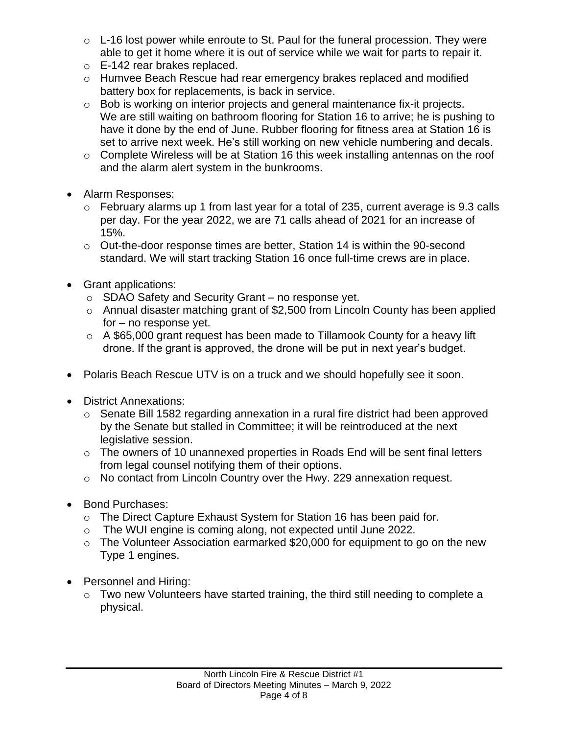- $\circ$  L-16 lost power while enroute to St. Paul for the funeral procession. They were able to get it home where it is out of service while we wait for parts to repair it.
- o E-142 rear brakes replaced.
- o Humvee Beach Rescue had rear emergency brakes replaced and modified battery box for replacements, is back in service.
- o Bob is working on interior projects and general maintenance fix-it projects. We are still waiting on bathroom flooring for Station 16 to arrive; he is pushing to have it done by the end of June. Rubber flooring for fitness area at Station 16 is set to arrive next week. He's still working on new vehicle numbering and decals.
- o Complete Wireless will be at Station 16 this week installing antennas on the roof and the alarm alert system in the bunkrooms.
- Alarm Responses:
	- o February alarms up 1 from last year for a total of 235, current average is 9.3 calls per day. For the year 2022, we are 71 calls ahead of 2021 for an increase of 15%.
	- o Out-the-door response times are better, Station 14 is within the 90-second standard. We will start tracking Station 16 once full-time crews are in place.
- Grant applications:
	- o SDAO Safety and Security Grant no response yet.
	- o Annual disaster matching grant of \$2,500 from Lincoln County has been applied for – no response yet.
	- o A \$65,000 grant request has been made to Tillamook County for a heavy lift drone. If the grant is approved, the drone will be put in next year's budget.
- Polaris Beach Rescue UTV is on a truck and we should hopefully see it soon.
- District Annexations:
	- o Senate Bill 1582 regarding annexation in a rural fire district had been approved by the Senate but stalled in Committee; it will be reintroduced at the next legislative session.
	- o The owners of 10 unannexed properties in Roads End will be sent final letters from legal counsel notifying them of their options.
	- o No contact from Lincoln Country over the Hwy. 229 annexation request.
- Bond Purchases:
	- o The Direct Capture Exhaust System for Station 16 has been paid for.
	- o The WUI engine is coming along, not expected until June 2022.
	- o The Volunteer Association earmarked \$20,000 for equipment to go on the new Type 1 engines.
- Personnel and Hiring:
	- o Two new Volunteers have started training, the third still needing to complete a physical.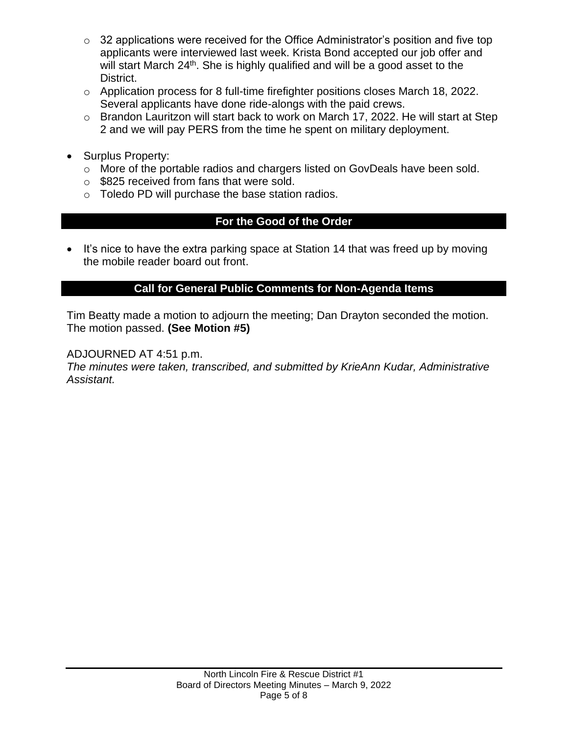- $\circ$  32 applications were received for the Office Administrator's position and five top applicants were interviewed last week. Krista Bond accepted our job offer and will start March 24<sup>th</sup>. She is highly qualified and will be a good asset to the District.
- o Application process for 8 full-time firefighter positions closes March 18, 2022. Several applicants have done ride-alongs with the paid crews.
- o Brandon Lauritzon will start back to work on March 17, 2022. He will start at Step 2 and we will pay PERS from the time he spent on military deployment.
- Surplus Property:
	- o More of the portable radios and chargers listed on GovDeals have been sold.
	- o \$825 received from fans that were sold.
	- o Toledo PD will purchase the base station radios.

# **For the Good of the Order**

• It's nice to have the extra parking space at Station 14 that was freed up by moving the mobile reader board out front.

## **Call for General Public Comments for Non-Agenda Items**

Tim Beatty made a motion to adjourn the meeting; Dan Drayton seconded the motion. The motion passed. **(See Motion #5)**

ADJOURNED AT 4:51 p.m.

*The minutes were taken, transcribed, and submitted by KrieAnn Kudar, Administrative Assistant.*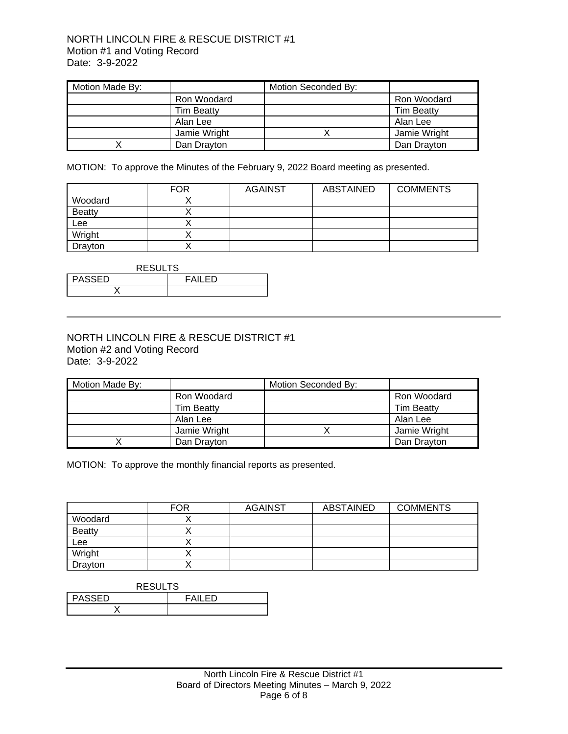#### NORTH LINCOLN FIRE & RESCUE DISTRICT #1 Motion #1 and Voting Record Date: 3-9-2022

| Motion Made By: |                   | Motion Seconded By: |                   |
|-----------------|-------------------|---------------------|-------------------|
|                 | Ron Woodard       |                     | Ron Woodard       |
|                 | <b>Tim Beatty</b> |                     | <b>Tim Beatty</b> |
|                 | Alan Lee          |                     | Alan Lee          |
|                 | Jamie Wright      |                     | Jamie Wright      |
|                 | Dan Drayton       |                     | Dan Drayton       |

MOTION: To approve the Minutes of the February 9, 2022 Board meeting as presented.

|               | <b>FOR</b> | <b>AGAINST</b> | ABSTAINED | <b>COMMENTS</b> |
|---------------|------------|----------------|-----------|-----------------|
| Woodard       |            |                |           |                 |
| <b>Beatty</b> |            |                |           |                 |
| Lee           |            |                |           |                 |
| Wright        |            |                |           |                 |
| Drayton       |            |                |           |                 |

| <b>RESULTS</b>           |  |  |  |
|--------------------------|--|--|--|
| <b>PASSED</b><br>FAII FD |  |  |  |
|                          |  |  |  |

#### NORTH LINCOLN FIRE & RESCUE DISTRICT #1 Motion #2 and Voting Record Date: 3-9-2022

| Motion Made By: |                   | Motion Seconded By: |                   |
|-----------------|-------------------|---------------------|-------------------|
|                 | Ron Woodard       |                     | Ron Woodard       |
|                 | <b>Tim Beatty</b> |                     | <b>Tim Beatty</b> |
|                 | Alan Lee          |                     | Alan Lee          |
|                 | Jamie Wright      |                     | Jamie Wright      |
|                 | Dan Drayton       |                     | Dan Drayton       |

MOTION: To approve the monthly financial reports as presented.

|               | <b>FOR</b> | <b>AGAINST</b> | <b>ABSTAINED</b> | <b>COMMENTS</b> |
|---------------|------------|----------------|------------------|-----------------|
| Woodard       |            |                |                  |                 |
| <b>Beatty</b> |            |                |                  |                 |
| Lee           |            |                |                  |                 |
| Wright        |            |                |                  |                 |
| Drayton       |            |                |                  |                 |

| <b>RESULTS</b>           |  |  |  |
|--------------------------|--|--|--|
| <b>PASSED</b><br>FAII FD |  |  |  |
|                          |  |  |  |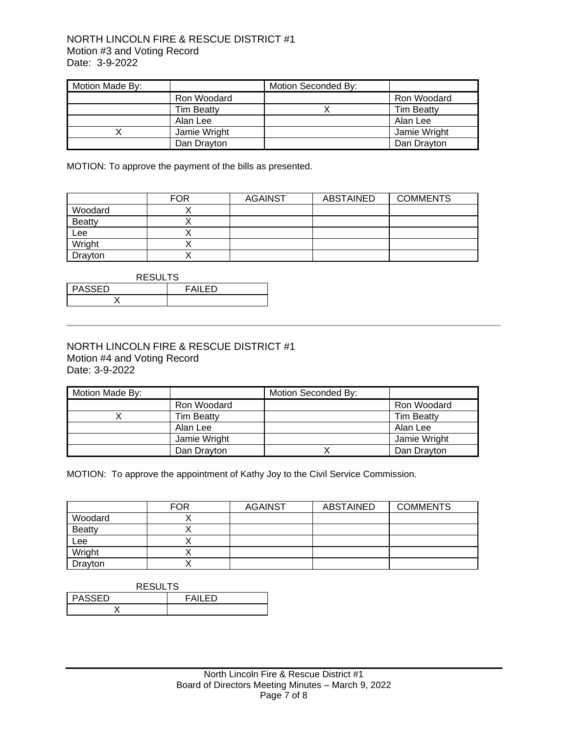#### NORTH LINCOLN FIRE & RESCUE DISTRICT #1 Motion #3 and Voting Record Date: 3-9-2022

| Motion Made By: |                   | Motion Seconded By: |                   |
|-----------------|-------------------|---------------------|-------------------|
|                 | Ron Woodard       |                     | Ron Woodard       |
|                 | <b>Tim Beatty</b> |                     | <b>Tim Beatty</b> |
|                 | Alan Lee          |                     | Alan Lee          |
|                 | Jamie Wright      |                     | Jamie Wright      |
|                 | Dan Drayton       |                     | Dan Drayton       |

MOTION: To approve the payment of the bills as presented.

|               | <b>FOR</b> | <b>AGAINST</b> | ABSTAINED | <b>COMMENTS</b> |
|---------------|------------|----------------|-----------|-----------------|
| Woodard       |            |                |           |                 |
| <b>Beatty</b> |            |                |           |                 |
| Lee           |            |                |           |                 |
| Wright        |            |                |           |                 |
| Drayton       |            |                |           |                 |

| <b>RESULTS</b>                 |  |  |  |
|--------------------------------|--|--|--|
| <b>PASSED</b><br><b>FAILED</b> |  |  |  |
|                                |  |  |  |

#### NORTH LINCOLN FIRE & RESCUE DISTRICT #1 Motion #4 and Voting Record Date: 3-9-2022

| Motion Made By: |                   | Motion Seconded By: |                   |
|-----------------|-------------------|---------------------|-------------------|
|                 | Ron Woodard       |                     | Ron Woodard       |
|                 | <b>Tim Beatty</b> |                     | <b>Tim Beatty</b> |
|                 | Alan Lee          |                     | Alan Lee          |
|                 | Jamie Wright      |                     | Jamie Wright      |
|                 | Dan Drayton       |                     | Dan Drayton       |

MOTION: To approve the appointment of Kathy Joy to the Civil Service Commission.

|               | <b>FOR</b> | <b>AGAINST</b> | ABSTAINED | <b>COMMENTS</b> |
|---------------|------------|----------------|-----------|-----------------|
| Woodard       |            |                |           |                 |
| <b>Beatty</b> |            |                |           |                 |
| Lee           |            |                |           |                 |
| Wright        |            |                |           |                 |
| Drayton       |            |                |           |                 |

| <b>RESULTS</b> |         |  |  |
|----------------|---------|--|--|
| <b>PASSED</b>  | FAII FD |  |  |
|                |         |  |  |